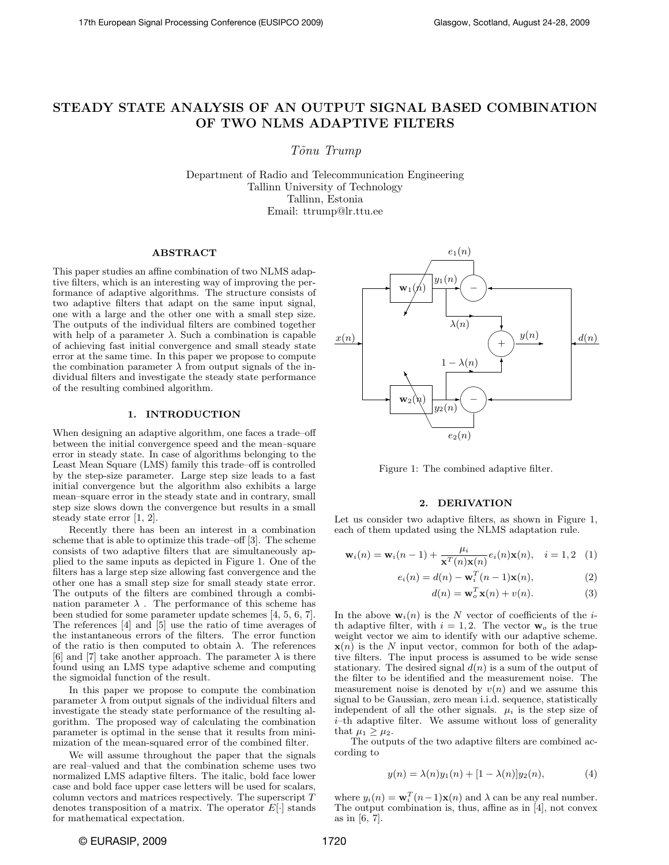# STEADY STATE ANALYSIS OF AN OUTPUT SIGNAL BASED COMBINATION OF TWO NLMS ADAPTIVE FILTERS

T˜onu Trump

Department of Radio and Telecommunication Engineering Tallinn University of Technology Tallinn, Estonia Email: ttrump@lr.ttu.ee

## ABSTRACT

This paper studies an affine combination of two NLMS adaptive filters, which is an interesting way of improving the performance of adaptive algorithms. The structure consists of two adaptive filters that adapt on the same input signal, one with a large and the other one with a small step size. The outputs of the individual filters are combined together with help of a parameter  $\lambda$ . Such a combination is capable of achieving fast initial convergence and small steady state error at the same time. In this paper we propose to compute the combination parameter  $\lambda$  from output signals of the individual filters and investigate the steady state performance of the resulting combined algorithm.

#### 1. INTRODUCTION

When designing an adaptive algorithm, one faces a trade–off between the initial convergence speed and the mean–square error in steady state. In case of algorithms belonging to the Least Mean Square (LMS) family this trade–off is controlled by the step-size parameter. Large step size leads to a fast initial convergence but the algorithm also exhibits a large mean–square error in the steady state and in contrary, small step size slows down the convergence but results in a small steady state error [1, 2].

Recently there has been an interest in a combination scheme that is able to optimize this trade–off [3]. The scheme consists of two adaptive filters that are simultaneously applied to the same inputs as depicted in Figure 1. One of the filters has a large step size allowing fast convergence and the other one has a small step size for small steady state error. The outputs of the filters are combined through a combination parameter  $\lambda$  . The performance of this scheme has been studied for some parameter update schemes [4, 5, 6, 7]. The references [4] and [5] use the ratio of time averages of the instantaneous errors of the filters. The error function of the ratio is then computed to obtain  $\lambda$ . The references [6] and [7] take another approach. The parameter  $\lambda$  is there found using an LMS type adaptive scheme and computing the sigmoidal function of the result.

In this paper we propose to compute the combination parameter  $\lambda$  from output signals of the individual filters and investigate the steady state performance of the resulting algorithm. The proposed way of calculating the combination parameter is optimal in the sense that it results from minimization of the mean-squared error of the combined filter.

We will assume throughout the paper that the signals are real–valued and that the combination scheme uses two normalized LMS adaptive filters. The italic, bold face lower case and bold face upper case letters will be used for scalars, column vectors and matrices respectively. The superscript T denotes transposition of a matrix. The operator  $E[\cdot]$  stands for mathematical expectation.



Figure 1: The combined adaptive filter.

## 2. DERIVATION

Let us consider two adaptive filters, as shown in Figure 1, each of them updated using the NLMS adaptation rule.

$$
\mathbf{w}_i(n) = \mathbf{w}_i(n-1) + \frac{\mu_i}{\mathbf{x}^T(n)\mathbf{x}(n)} e_i(n)\mathbf{x}(n), \quad i = 1, 2 \quad (1)
$$

$$
e_i(n) = d(n) - \mathbf{w}_i^T(n-1)\mathbf{x}(n),
$$
\n(2)

$$
d(n) = \mathbf{w}_o^T \mathbf{x}(n) + v(n). \tag{3}
$$

In the above  $\mathbf{w}_i(n)$  is the N vector of coefficients of the *i*th adaptive filter, with  $i = 1, 2$ . The vector  $\mathbf{w}_o$  is the true weight vector we aim to identify with our adaptive scheme.  $\mathbf{x}(n)$  is the N input vector, common for both of the adaptive filters. The input process is assumed to be wide sense stationary. The desired signal  $d(n)$  is a sum of the output of the filter to be identified and the measurement noise. The measurement noise is denoted by  $v(n)$  and we assume this signal to be Gaussian, zero mean i.i.d. sequence, statistically independent of all the other signals.  $\mu_i$  is the step size of i–th adaptive filter. We assume without loss of generality that  $\mu_1 \geq \mu_2$ .

The outputs of the two adaptive filters are combined according to

$$
y(n) = \lambda(n)y_1(n) + [1 - \lambda(n)]y_2(n),
$$
 (4)

where  $y_i(n) = \mathbf{w}_i^T(n-1)\mathbf{x}(n)$  and  $\lambda$  can be any real number. The output combination is, thus, affine as in [4], not convex as in [6, 7].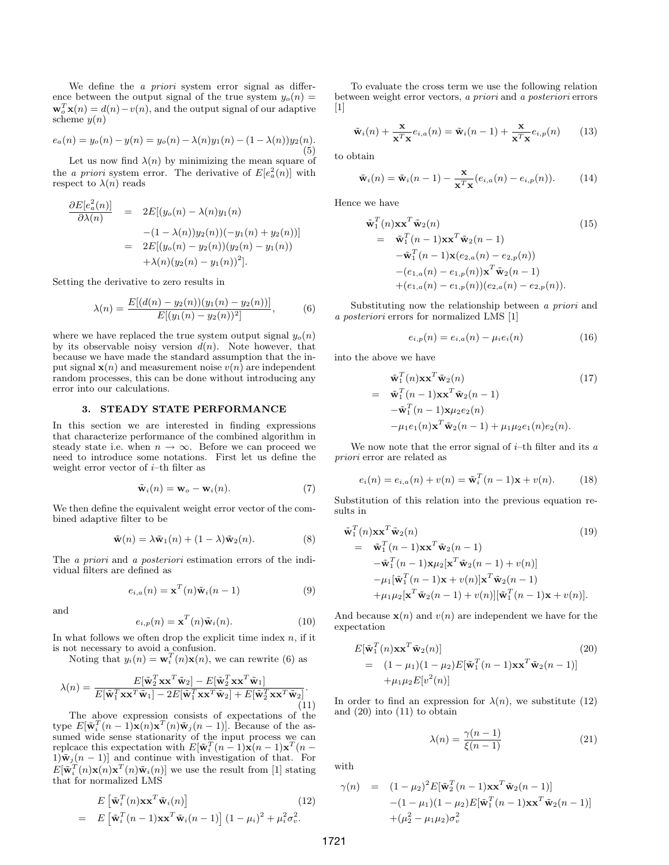We define the *a priori* system error signal as difference between the output signal of the true system  $y_o(n) =$  $\mathbf{w}_o^T \mathbf{x}(n) = d(n) - v(n)$ , and the output signal of our adaptive scheme  $y(n)$ 

$$
e_a(n) = y_o(n) - y(n) = y_o(n) - \lambda(n)y_1(n) - (1 - \lambda(n))y_2(n).
$$
\n(5)

Let us now find  $\lambda(n)$  by minimizing the mean square of the *a priori* system error. The derivative of  $E[e_a^2(n)]$  with respect to  $\lambda(n)$  reads

$$
\frac{\partial E[e_a^2(n)]}{\partial \lambda(n)} = 2E[(y_o(n) - \lambda(n)y_1(n) - (1 - \lambda(n))y_2(n))(-y_1(n) + y_2(n))]
$$
  
= 
$$
2E[(y_o(n) - y_2(n))(y_2(n) - y_1(n)) + \lambda(n)(y_2(n) - y_1(n))^2].
$$

Setting the derivative to zero results in

$$
\lambda(n) = \frac{E[(d(n) - y_2(n))(y_1(n) - y_2(n))]}{E[(y_1(n) - y_2(n))^2]},
$$
\n(6)

where we have replaced the true system output signal  $y<sub>o</sub>(n)$ by its observable noisy version  $d(n)$ . Note however, that because we have made the standard assumption that the input signal  $\mathbf{x}(n)$  and measurement noise  $v(n)$  are independent random processes, this can be done without introducing any error into our calculations.

## 3. STEADY STATE PERFORMANCE

In this section we are interested in finding expressions that characterize performance of the combined algorithm in steady state i.e. when  $n \to \infty$ . Before we can proceed we need to introduce some notations. First let us define the weight error vector of  $i$ –th filter as

$$
\tilde{\mathbf{w}}_i(n) = \mathbf{w}_o - \mathbf{w}_i(n). \tag{7}
$$

We then define the equivalent weight error vector of the combined adaptive filter to be

$$
\tilde{\mathbf{w}}(n) = \lambda \tilde{\mathbf{w}}_1(n) + (1 - \lambda) \tilde{\mathbf{w}}_2(n). \tag{8}
$$

The a priori and a posteriori estimation errors of the individual filters are defined as

$$
e_{i,a}(n) = \mathbf{x}^{T}(n)\tilde{\mathbf{w}}_{i}(n-1)
$$
\n(9)

and

$$
e_{i,p}(n) = \mathbf{x}^{T}(n)\tilde{\mathbf{w}}_{i}(n). \tag{10}
$$

In what follows we often drop the explicit time index  $n$ , if it is not necessary to avoid a confusion.

Noting that  $y_i(n) = \mathbf{w}_i^T(n)\mathbf{x}(n)$ , we can rewrite (6) as

$$
\lambda(n) = \frac{E[\tilde{\mathbf{w}}_2^T \mathbf{x} \mathbf{x}^T \tilde{\mathbf{w}}_2] - E[\tilde{\mathbf{w}}_2^T \mathbf{x} \mathbf{x}^T \tilde{\mathbf{w}}_1]}{E[\tilde{\mathbf{w}}_1^T \mathbf{x} \mathbf{x}^T \tilde{\mathbf{w}}_1] - 2E[\tilde{\mathbf{w}}_1^T \mathbf{x} \mathbf{x}^T \tilde{\mathbf{w}}_2] + E[\tilde{\mathbf{w}}_2^T \mathbf{x} \mathbf{x}^T \tilde{\mathbf{w}}_2]}.
$$
\n(11)

The above expression consists of expectations of the type  $E[\tilde{\mathbf{w}}_i^T(n-1)\mathbf{x}(n)\mathbf{x}^T(n)\tilde{\mathbf{w}}_j(n-1)]$ . Because of the assumed wide sense stationarity of the input process we can replcace this expectation with  $E[\tilde{\mathbf{w}}_i^T(n-1)\hat{\mathbf{x}}(n-1)\mathbf{x}^T(n-1)]$  $1)\tilde{\mathbf{w}}_j(n-1)$ ] and continue with investigation of that. For  $E[\tilde{\mathbf{w}}_i^T(n)\mathbf{x}(n)\mathbf{x}^T(n)\tilde{\mathbf{w}}_i(n)]$  we use the result from [1] stating that for normalized LMS

$$
E\left[\tilde{\mathbf{w}}_i^T(n)\mathbf{x}\mathbf{x}^T\tilde{\mathbf{w}}_i(n)\right]
$$
\n
$$
= E\left[\tilde{\mathbf{w}}_i^T(n-1)\mathbf{x}\mathbf{x}^T\tilde{\mathbf{w}}_i(n-1)\right](1-\mu_i)^2 + \mu_i^2\sigma_v^2.
$$
\n(12)

To evaluate the cross term we use the following relation between weight error vectors, a priori and a posteriori errors  $[1]$ 

$$
\tilde{\mathbf{w}}_i(n) + \frac{\mathbf{x}}{\mathbf{x}^T \mathbf{x}} e_{i,a}(n) = \tilde{\mathbf{w}}_i(n-1) + \frac{\mathbf{x}}{\mathbf{x}^T \mathbf{x}} e_{i,p}(n) \qquad (13)
$$

to obtain

$$
\tilde{\mathbf{w}}_i(n) = \tilde{\mathbf{w}}_i(n-1) - \frac{\mathbf{x}}{\mathbf{x}^T \mathbf{x}} (e_{i,a}(n) - e_{i,p}(n)).
$$
 (14)

Hence we have

$$
\tilde{\mathbf{w}}_1^T(n)\mathbf{x}\mathbf{x}^T\tilde{\mathbf{w}}_2(n) \qquad (15)
$$
\n
$$
= \tilde{\mathbf{w}}_1^T(n-1)\mathbf{x}\mathbf{x}^T\tilde{\mathbf{w}}_2(n-1) -\tilde{\mathbf{w}}_1^T(n-1)\mathbf{x}(e_{2,a}(n)-e_{2,p}(n)) - (e_{1,a}(n)-e_{1,p}(n))\mathbf{x}^T\tilde{\mathbf{w}}_2(n-1) + (e_{1,a}(n)-e_{1,p}(n))(e_{2,a}(n)-e_{2,p}(n)).
$$
\n(15)

Substituting now the relationship between a priori and a posteriori errors for normalized LMS [1]

$$
e_{i,p}(n) = e_{i,a}(n) - \mu_i e_i(n)
$$
 (16)

into the above we have

 $=$ 

$$
\tilde{\mathbf{w}}_1^T(n)\mathbf{x}\mathbf{x}^T\tilde{\mathbf{w}}_2(n) \qquad (17)
$$
\n
$$
\tilde{\mathbf{w}}_1^T(n-1)\mathbf{x}\mathbf{x}^T\tilde{\mathbf{w}}_2(n-1) - \tilde{\mathbf{w}}_1^T(n-1)\mathbf{x}\mu_2e_2(n) - \mu_1e_1(n)\mathbf{x}^T\tilde{\mathbf{w}}_2(n-1) + \mu_1\mu_2e_1(n)e_2(n).
$$

We now note that the error signal of  $i$ –th filter and its a priori error are related as

$$
e_i(n) = e_{i,a}(n) + v(n) = \tilde{\mathbf{w}}_i^T(n-1)\mathbf{x} + v(n).
$$
 (18)

Substitution of this relation into the previous equation results in

$$
\tilde{\mathbf{w}}_1^T(n)\mathbf{x}\mathbf{x}^T\tilde{\mathbf{w}}_2(n)
$$
\n
$$
= \tilde{\mathbf{w}}_1^T(n-1)\mathbf{x}\mathbf{x}^T\tilde{\mathbf{w}}_2(n-1)
$$
\n
$$
- \tilde{\mathbf{w}}_1^T(n-1)\mathbf{x}\mu_2[\mathbf{x}^T\tilde{\mathbf{w}}_2(n-1) + v(n)]
$$
\n
$$
- \mu_1[\tilde{\mathbf{w}}_1^T(n-1)\mathbf{x} + v(n)]\mathbf{x}^T\tilde{\mathbf{w}}_2(n-1)
$$
\n
$$
+ \mu_1\mu_2[\mathbf{x}^T\tilde{\mathbf{w}}_2(n-1) + v(n)][\tilde{\mathbf{w}}_1^T(n-1)\mathbf{x} + v(n)].
$$
\n(19)

And because  $\mathbf{x}(n)$  and  $v(n)$  are independent we have for the expectation

$$
E[\tilde{\mathbf{w}}_1^T(n)\mathbf{x}\mathbf{x}^T\tilde{\mathbf{w}}_2(n)]
$$
\n
$$
= (1 - \mu_1)(1 - \mu_2)E[\tilde{\mathbf{w}}_1^T(n-1)\mathbf{x}\mathbf{x}^T\tilde{\mathbf{w}}_2(n-1)]
$$
\n
$$
+ \mu_1\mu_2 E[v^2(n)]
$$
\n(20)

In order to find an expression for  $\lambda(n)$ , we substitute (12) and (20) into (11) to obtain

$$
\lambda(n) = \frac{\gamma(n-1)}{\xi(n-1)}\tag{21}
$$

with

$$
\gamma(n) = (1 - \mu_2)^2 E[\tilde{\mathbf{w}}_2^T(n-1)\mathbf{x}\mathbf{x}^T\tilde{\mathbf{w}}_2(n-1)] -(1 - \mu_1)(1 - \mu_2)E[\tilde{\mathbf{w}}_1^T(n-1)\mathbf{x}\mathbf{x}^T\tilde{\mathbf{w}}_2(n-1)] +(\mu_2^2 - \mu_1\mu_2)\sigma_v^2
$$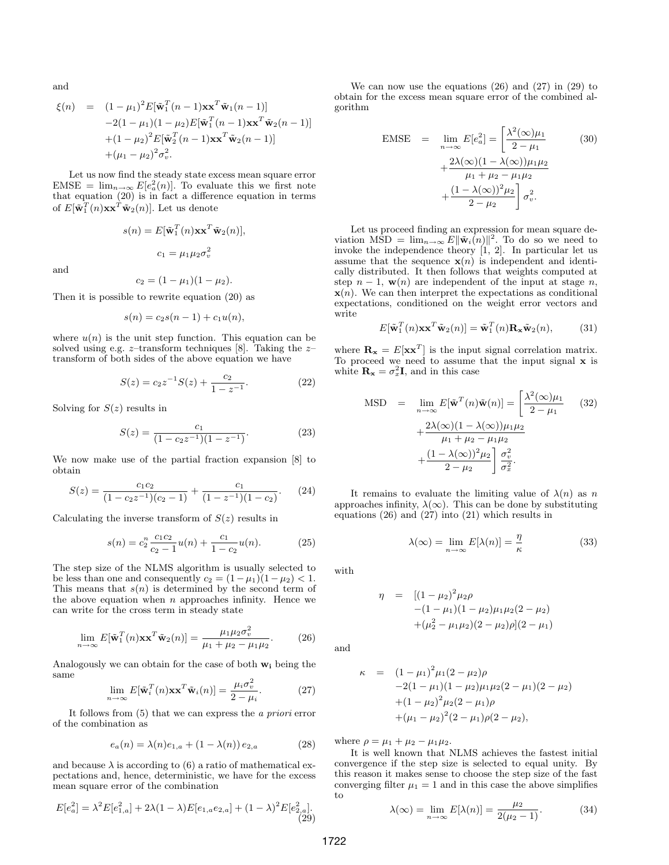and

$$
\xi(n) = (1 - \mu_1)^2 E[\tilde{\mathbf{w}}_1^T(n-1)\mathbf{x}\mathbf{x}^T\tilde{\mathbf{w}}_1(n-1)]
$$
  
-2(1 - \mu\_1)(1 - \mu\_2)E[\tilde{\mathbf{w}}\_1^T(n-1)\mathbf{x}\mathbf{x}^T\tilde{\mathbf{w}}\_2(n-1)]  
+(1 - \mu\_2)^2 E[\tilde{\mathbf{w}}\_2^T(n-1)\mathbf{x}\mathbf{x}^T\tilde{\mathbf{w}}\_2(n-1)]  
+(\mu\_1 - \mu\_2)^2 \sigma\_v^2.

Let us now find the steady state excess mean square error EMSE =  $\lim_{n\to\infty} E[e_a^2(n)]$ . To evaluate this we first note that equation (20) is in fact a difference equation in terms of  $E[\tilde{\mathbf{w}}_1^T(n)\mathbf{x}\mathbf{x}^T\tilde{\mathbf{w}}_2(n)]$ . Let us denote

$$
s(n) = E[\tilde{\mathbf{w}}_1^T(n)\mathbf{x}\mathbf{x}^T\tilde{\mathbf{w}}_2(n)],
$$

$$
c_1 = \mu_1\mu_2\sigma_v^2
$$

and

$$
c_2 = (1 - \mu_1)(1 - \mu_2).
$$

Then it is possible to rewrite equation (20) as

$$
s(n) = c_2 s(n-1) + c_1 u(n),
$$

where  $u(n)$  is the unit step function. This equation can be solved using e.g.  $z$ -transform techniques [8]. Taking the  $z$ transform of both sides of the above equation we have

$$
S(z) = c_2 z^{-1} S(z) + \frac{c_2}{1 - z^{-1}}.
$$
 (22)

Solving for  $S(z)$  results in

$$
S(z) = \frac{c_1}{(1 - c_2 z^{-1})(1 - z^{-1})}.
$$
 (23)

We now make use of the partial fraction expansion [8] to obtain

$$
S(z) = \frac{c_1 c_2}{(1 - c_2 z^{-1})(c_2 - 1)} + \frac{c_1}{(1 - z^{-1})(1 - c_2)}.
$$
 (24)

Calculating the inverse transform of  $S(z)$  results in

$$
s(n) = c_2^n \frac{c_1 c_2}{c_2 - 1} u(n) + \frac{c_1}{1 - c_2} u(n).
$$
 (25)

The step size of the NLMS algorithm is usually selected to be less than one and consequently  $c_2 = (1 - \mu_1)(1 - \mu_2) < 1$ . This means that  $s(n)$  is determined by the second term of the above equation when  $n$  approaches infinity. Hence we can write for the cross term in steady state

$$
\lim_{n \to \infty} E[\tilde{\mathbf{w}}_1^T(n) \mathbf{x} \mathbf{x}^T \tilde{\mathbf{w}}_2(n)] = \frac{\mu_1 \mu_2 \sigma_v^2}{\mu_1 + \mu_2 - \mu_1 \mu_2}.
$$
 (26)

Analogously we can obtain for the case of both  $w_i$  being the same

$$
\lim_{n \to \infty} E[\tilde{\mathbf{w}}_i^T(n) \mathbf{x} \mathbf{x}^T \tilde{\mathbf{w}}_i(n)] = \frac{\mu_i \sigma_v^2}{2 - \mu_i}.
$$
 (27)

It follows from (5) that we can express the a priori error of the combination as

$$
e_a(n) = \lambda(n)e_{1,a} + (1 - \lambda(n))e_{2,a}
$$
 (28)

and because  $\lambda$  is according to (6) a ratio of mathematical expectations and, hence, deterministic, we have for the excess mean square error of the combination

$$
E[e_a^2] = \lambda^2 E[e_{1,a}^2] + 2\lambda (1 - \lambda) E[e_{1,a}e_{2,a}] + (1 - \lambda)^2 E[e_{2,a}^2].
$$
\n(29)

We can now use the equations  $(26)$  and  $(27)$  in  $(29)$  to obtain for the excess mean square error of the combined algorithm

$$
\text{EMSE} = \lim_{n \to \infty} E[e_a^2] = \left[ \frac{\lambda^2(\infty)\mu_1}{2 - \mu_1} \right] \tag{30}
$$
\n
$$
+ \frac{2\lambda(\infty)(1 - \lambda(\infty))\mu_1\mu_2}{\mu_1 + \mu_2 - \mu_1\mu_2} \tag{30}
$$
\n
$$
+ \frac{(1 - \lambda(\infty))^2 \mu_2}{2 - \mu_2} \right] \sigma_v^2.
$$

Let us proceed finding an expression for mean square deviation  $\widehat{\text{MSD}} = \lim_{n \to \infty} E \|\tilde{\textbf{w}}_i(n)\|^2$ . To do so we need to invoke the independence theory [1, 2]. In particular let us assume that the sequence  $\mathbf{x}(n)$  is independent and identically distributed. It then follows that weights computed at step  $n-1$ , w(n) are independent of the input at stage n,  $\mathbf{x}(n)$ . We can then interpret the expectations as conditional expectations, conditioned on the weight error vectors and write

$$
E[\tilde{\mathbf{w}}_1^T(n)\mathbf{x}\mathbf{x}^T\tilde{\mathbf{w}}_2(n)] = \tilde{\mathbf{w}}_1^T(n)\mathbf{R}_\mathbf{x}\tilde{\mathbf{w}}_2(n),
$$
 (31)

where  $\mathbf{R}_{\mathbf{x}} = E[\mathbf{x}\mathbf{x}^T]$  is the input signal correlation matrix. To proceed we need to assume that the input signal x is white  $\mathbf{R}_{\mathbf{x}} = \sigma_x^2 \mathbf{I}$ , and in this case

$$
\text{MSD} = \lim_{n \to \infty} E[\tilde{\mathbf{w}}^T(n)\tilde{\mathbf{w}}(n)] = \begin{bmatrix} \frac{\lambda^2(\infty)\mu_1}{2 - \mu_1} & (32) \\ + \frac{2\lambda(\infty)(1 - \lambda(\infty))\mu_1\mu_2}{\mu_1 + \mu_2 - \mu_1\mu_2} \\ + \frac{(1 - \lambda(\infty))^2\mu_2}{2 - \mu_2} & \frac{\sigma_v^2}{\sigma_x^2}. \end{bmatrix}
$$

It remains to evaluate the limiting value of  $\lambda(n)$  as n approaches infinity,  $\lambda(\infty)$ . This can be done by substituting equations (26) and (27) into (21) which results in

$$
\lambda(\infty) = \lim_{n \to \infty} E[\lambda(n)] = \frac{\eta}{\kappa}
$$
 (33)

with

$$
\eta = [(1 - \mu_2)^2 \mu_2 \rho -(1 - \mu_1)(1 - \mu_2)\mu_1 \mu_2 (2 - \mu_2) +(\mu_2^2 - \mu_1 \mu_2)(2 - \mu_2)\rho](2 - \mu_1)
$$

and

$$
\kappa = (1 - \mu_1)^2 \mu_1 (2 - \mu_2) \rho \n-2(1 - \mu_1)(1 - \mu_2) \mu_1 \mu_2 (2 - \mu_1)(2 - \mu_2) \n+ (1 - \mu_2)^2 \mu_2 (2 - \mu_1) \rho \n+ (\mu_1 - \mu_2)^2 (2 - \mu_1) \rho (2 - \mu_2),
$$

where  $\rho = \mu_1 + \mu_2 - \mu_1 \mu_2$ .

It is well known that NLMS achieves the fastest initial convergence if the step size is selected to equal unity. By this reason it makes sense to choose the step size of the fast converging filter  $\mu_1 = 1$  and in this case the above simplifies to

$$
\lambda(\infty) = \lim_{n \to \infty} E[\lambda(n)] = \frac{\mu_2}{2(\mu_2 - 1)}.
$$
 (34)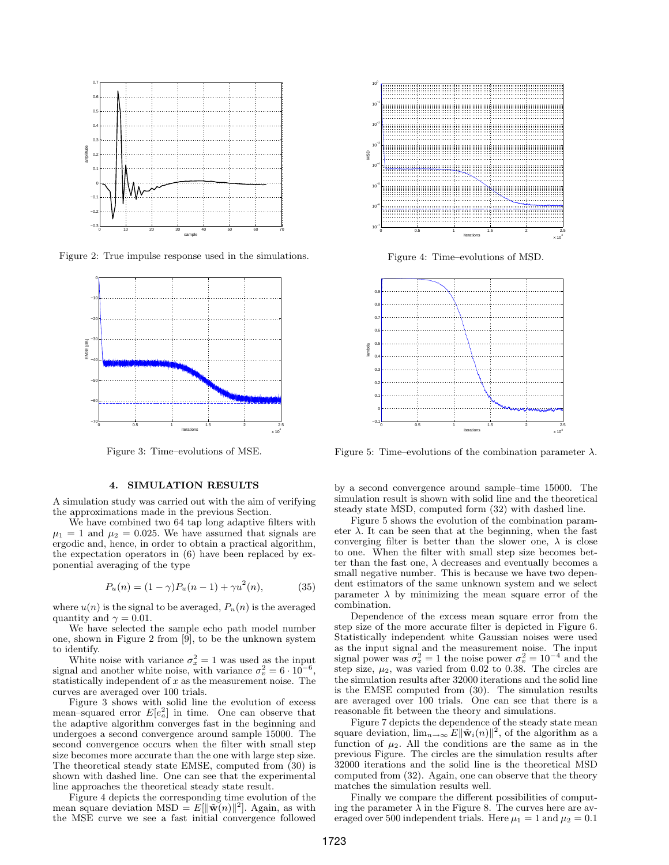

Figure 2: True impulse response used in the simulations.



Figure 3: Time–evolutions of MSE.

#### 4. SIMULATION RESULTS

A simulation study was carried out with the aim of verifying the approximations made in the previous Section.

We have combined two 64 tap long adaptive filters with  $\mu_1 = 1$  and  $\mu_2 = 0.025$ . We have assumed that signals are ergodic and, hence, in order to obtain a practical algorithm, the expectation operators in (6) have been replaced by exponential averaging of the type

$$
P_u(n) = (1 - \gamma)P_u(n - 1) + \gamma u^2(n), \tag{35}
$$

where  $u(n)$  is the signal to be averaged,  $P_u(n)$  is the averaged quantity and  $\gamma = 0.01$ .

We have selected the sample echo path model number one, shown in Figure 2 from [9], to be the unknown system to identify.

White noise with variance  $\sigma_x^2 = 1$  was used as the input signal and another white noise, with variance  $\sigma_v^2 = 6 \cdot 10^{-6}$ , statistically independent of  $x$  as the measurement noise. The curves are averaged over 100 trials.

Figure 3 shows with solid line the evolution of excess mean–squared error  $E[e_a^2]$  in time. One can observe that the adaptive algorithm converges fast in the beginning and undergoes a second convergence around sample 15000. The second convergence occurs when the filter with small step size becomes more accurate than the one with large step size. The theoretical steady state EMSE, computed from (30) is shown with dashed line. One can see that the experimental line approaches the theoretical steady state result.

Figure 4 depicts the corresponding time evolution of the mean square deviation MSD =  $E[\|\tilde{\mathbf{w}}(n)\|^2]$ . Again, as with the MSE curve we see a fast initial convergence followed



Figure 4: Time–evolutions of MSD.



Figure 5: Time–evolutions of the combination parameter  $\lambda$ .

by a second convergence around sample–time 15000. The simulation result is shown with solid line and the theoretical steady state MSD, computed form (32) with dashed line.

Figure 5 shows the evolution of the combination parameter  $\lambda$ . It can be seen that at the beginning, when the fast converging filter is better than the slower one,  $\lambda$  is close to one. When the filter with small step size becomes better than the fast one,  $\lambda$  decreases and eventually becomes a small negative number. This is because we have two dependent estimators of the same unknown system and we select parameter  $\lambda$  by minimizing the mean square error of the combination.

Dependence of the excess mean square error from the step size of the more accurate filter is depicted in Figure 6. Statistically independent white Gaussian noises were used as the input signal and the measurement noise. The input signal power was  $\sigma_x^2 = 1$  the noise power  $\sigma_v^2 = 10^{-4}$  and the step size,  $\mu_2$ , was varied from 0.02 to 0.38. The circles are the simulation results after 32000 iterations and the solid line is the EMSE computed from (30). The simulation results are averaged over 100 trials. One can see that there is a reasonable fit between the theory and simulations.

Figure 7 depicts the dependence of the steady state mean square deviation,  $\lim_{n\to\infty} E\|\tilde{\mathbf{w}}_i(n)\|^2$ , of the algorithm as a function of  $\mu_2$ . All the conditions are the same as in the previous Figure. The circles are the simulation results after 32000 iterations and the solid line is the theoretical MSD computed from (32). Again, one can observe that the theory matches the simulation results well.

Finally we compare the different possibilities of computing the parameter  $\lambda$  in the Figure 8. The curves here are averaged over 500 independent trials. Here  $\mu_1 = 1$  and  $\mu_2 = 0.1$